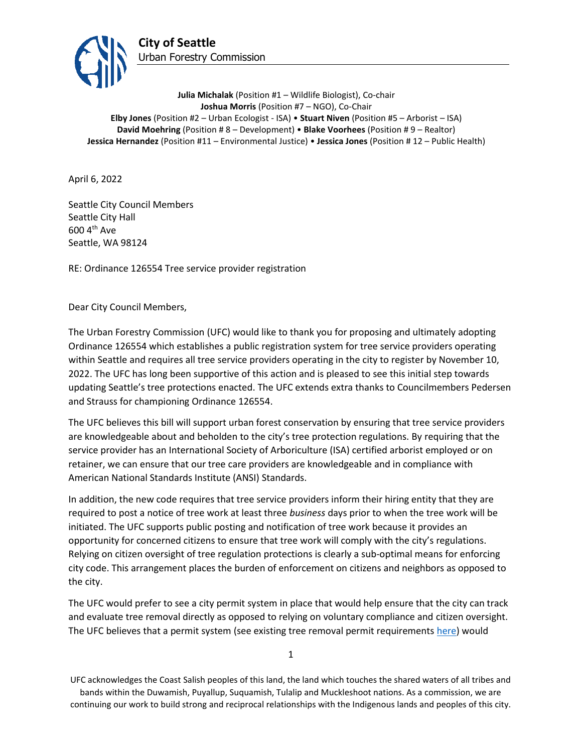

**Julia Michalak** (Position #1 – Wildlife Biologist), Co-chair **Joshua Morris** (Position #7 – NGO), Co-Chair **Elby Jones** (Position #2 – Urban Ecologist - ISA) • **Stuart Niven** (Position #5 – Arborist – ISA) **David Moehring** (Position # 8 – Development) • **Blake Voorhees** (Position # 9 – Realtor) **Jessica Hernandez** (Position #11 – Environmental Justice) • **Jessica Jones** (Position # 12 – Public Health)

April 6, 2022

Seattle City Council Members Seattle City Hall 600 4th Ave Seattle, WA 98124

RE: Ordinance 126554 Tree service provider registration

Dear City Council Members,

The Urban Forestry Commission (UFC) would like to thank you for proposing and ultimately adopting Ordinance 126554 which establishes a public registration system for tree service providers operating within Seattle and requires all tree service providers operating in the city to register by November 10, 2022. The UFC has long been supportive of this action and is pleased to see this initial step towards updating Seattle's tree protections enacted. The UFC extends extra thanks to Councilmembers Pedersen and Strauss for championing Ordinance 126554.

The UFC believes this bill will support urban forest conservation by ensuring that tree service providers are knowledgeable about and beholden to the city's tree protection regulations. By requiring that the service provider has an International Society of Arboriculture (ISA) certified arborist employed or on retainer, we can ensure that our tree care providers are knowledgeable and in compliance with American National Standards Institute (ANSI) Standards.

In addition, the new code requires that tree service providers inform their hiring entity that they are required to post a notice of tree work at least three *business* days prior to when the tree work will be initiated. The UFC supports public posting and notification of tree work because it provides an opportunity for concerned citizens to ensure that tree work will comply with the city's regulations. Relying on citizen oversight of tree regulation protections is clearly a sub-optimal means for enforcing city code. This arrangement places the burden of enforcement on citizens and neighbors as opposed to the city.

The UFC would prefer to see a city permit system in place that would help ensure that the city can track and evaluate tree removal directly as opposed to relying on voluntary compliance and citizen oversight. The UFC believes that a permit system (see existing tree removal permit requirement[s here\)](http://www.seattle.gov/trees/regulations#removingtrees) would

1

UFC acknowledges the Coast Salish peoples of this land, the land which touches the shared waters of all tribes and bands within the Duwamish, Puyallup, Suquamish, Tulalip and Muckleshoot nations. As a commission, we are continuing our work to build strong and reciprocal relationships with the Indigenous lands and peoples of this city.